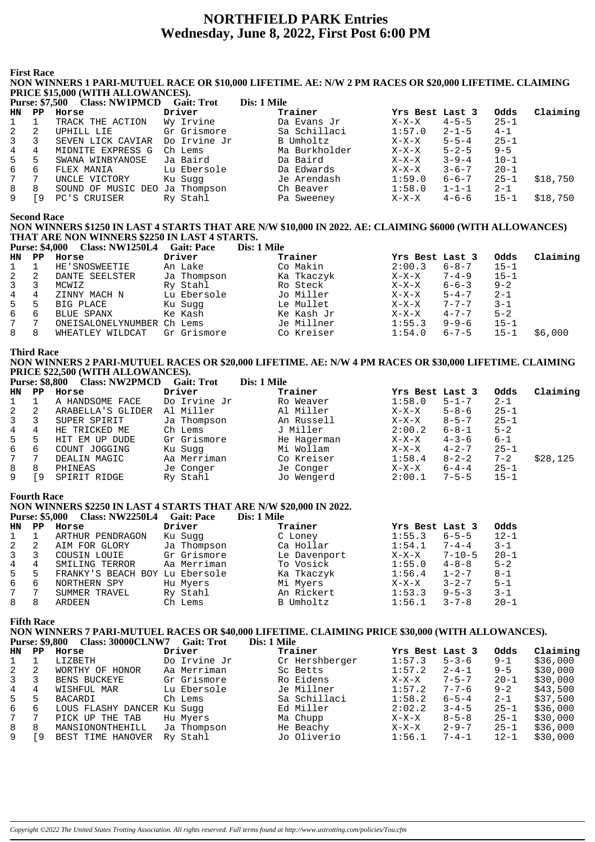# **NORTHFIELD PARK Entries** Wednesday, June 8, 2022, First Post 6:00 PM

**First Race** 

NON WINNERS 1 PARI-MUTUEL RACE OR \$10,000 LIFETIME. AE: N/W 2 PM RACES OR \$20,000 LIFETIME. CLAIMING PRICE \$15,000 (WITH ALLOWANCES).

|                | <b>Purse: \$7,500</b> | <b>Class: NW1PMCD</b>          | <b>Gait: Trot</b> | Dis: 1 Mile   |                 |             |          |          |
|----------------|-----------------------|--------------------------------|-------------------|---------------|-----------------|-------------|----------|----------|
| HN             | PP                    | Horse                          | Driver            | Trainer       | Yrs Best Last 3 |             | Odds     | Claiming |
|                |                       | TRACK THE ACTION               | Wy Irvine         | Da Evans Jr   | $X-X-X$         | $4 - 5 - 5$ | $25 - 1$ |          |
| 2              | 2                     | UPHILL LIE                     | Gr Grismore       | Sa Schillaci  | 1:57.0          | $2 - 1 - 5$ | $4 - 1$  |          |
| $\overline{3}$ |                       | SEVEN LICK CAVIAR              | Do Irvine Jr      | B Umholtz     | $X-X-X$         | $5 - 5 - 4$ | $25 - 1$ |          |
| 4              | 4                     | MIDNITE EXPRESS G              | Ch Lems           | Ma Burkholder | $X-X-X$         | $5 - 2 - 5$ | $9 - 5$  |          |
| 5              | 5                     | SWANA WINBYANOSE               | Ja Baird          | Da Baird      | $X-X-X$         | $3 - 9 - 4$ | $10 - 1$ |          |
| 6              | 6                     | FLEX MANIA                     | Lu Ebersole       | Da Edwards    | $X-X-X$         | $3 - 6 - 7$ | $20 - 1$ |          |
| 7              |                       | UNCLE VICTORY                  | Ku Sugg           | Je Arendash   | 1:59.0          | $6 - 6 - 7$ | $25 - 1$ | \$18,750 |
| 8              | 8                     | SOUND OF MUSIC DEO Ja Thompson |                   | Ch Beaver     | 1:58.0          | $1 - 1 - 1$ | $2 - 1$  |          |
| 9              | 9                     | PC'S CRUISER                   | Ry Stahl          | Pa Sweeney    | $X-X-X$         | $4 - 6 - 6$ | $15 - 1$ | \$18,750 |

**Second Race** 

NON WINNERS \$1250 IN LAST 4 STARTS THAT ARE N/W \$10,000 IN 2022. AE: CLAIMING \$6000 (WITH ALLOWANCES) THAT ARE NON WINNERS \$2250 IN LAST 4 STARTS.

| <b>Purse: \$4,000</b> |    | Class: NW1250L4            | Gait: Pace  | Dis: 1 Mile |                 |             |          |          |
|-----------------------|----|----------------------------|-------------|-------------|-----------------|-------------|----------|----------|
| HN                    | PP | Horse                      | Driver      | Trainer     | Yrs Best Last 3 |             | Odds     | Claiming |
|                       |    | HE'SNOSWEETIE              | An Lake     | Co Makin    | 2:00.3          | $6 - 8 - 7$ | $15 - 1$ |          |
| 2                     | 2  | DANTE SEELSTER             | Ja Thompson | Ka Tkaczyk  | X-X-X           | $7 - 4 - 9$ | $15 - 1$ |          |
| 3                     |    | MCWIZ                      | Ry Stahl    | Ro Steck    | $X-X-X$         | $6 - 6 - 3$ | $9 - 2$  |          |
| 4                     | 4  | ZINNY MACH N               | Lu Ebersole | Jo Miller   | $X-X-X$         | $5 - 4 - 7$ | $2 - 1$  |          |
| 5                     | -5 | BIG PLACE                  | Ku Sugg     | Le Mullet   | X-X-X           | $7 - 7 - 7$ | $3 - 1$  |          |
| 6                     | 6  | BLUE SPANX                 | Ke Kash     | Ke Kash Jr  | $X-X-X$         | $4 - 7 - 7$ | $5 - 2$  |          |
| 7                     |    | ONEISALONELYNUMBER Ch Lems |             | Je Millner  | 1:55.3          | $9 - 9 - 6$ | $15 - 1$ |          |
| 8                     | 8  | WHEATLEY WILDCAT           | Gr Grismore | Co Kreiser  | 1:54.0          | $6 - 7 - 5$ | $15 - 1$ | \$6,000  |

**Third Race** 

NON WINNERS 2 PARI-MUTUEL RACES OR \$20,000 LIFETIME. AE: N/W 4 PM RACES OR \$30,000 LIFETIME. CLAIMING PRICE \$22,500 (WITH ALLOWANCES).

|                | Purse: \$8,800 | <b>Class: NWZPMCD</b> | Gait: Trot   | Dis: 1 Mile |                 |             |          |          |
|----------------|----------------|-----------------------|--------------|-------------|-----------------|-------------|----------|----------|
| HN .           | PP             | Horse                 | Driver       | Trainer     | Yrs Best Last 3 |             | Odds     | Claiming |
|                |                | A HANDSOME FACE       | Do Irvine Jr | Ro Weaver   | 1:58.0          | $5 - 1 - 7$ | $2 - 1$  |          |
| 2              | -2             | ARABELLA'S GLIDER     | Al Miller    | Al Miller   | X-X-X           | $5 - 8 - 6$ | $25 - 1$ |          |
| $\overline{3}$ | 3              | SUPER SPIRIT          | Ja Thompson  | An Russell  | $X-X-X$         | $8 - 5 - 7$ | $25 - 1$ |          |
| 4              | 4              | HE TRICKED ME         | Ch Lems      | J Miller    | 2:00.2          | 6-8-1       | $5 - 2$  |          |
| 5              | 5              | HIT EM UP DUDE        | Gr Grismore  | He Hagerman | $X-X-X$         | $4 - 3 - 6$ | $6 - 1$  |          |
| 6              | 6              | COUNT JOGGING         | Ku Sugg      | Mi Wollam   | $X-X-X$         | $4 - 2 - 7$ | $25 - 1$ |          |
| $7\degree$     |                | DEALIN MAGIC          | Aa Merriman  | Co Kreiser  | 1:58.4          | $8 - 2 - 2$ | $7 - 2$  | \$28,125 |
| 8              | 8              | PHINEAS               | Je Conger    | Je Conger   | $X-X-X$         | $6 - 4 - 4$ | $25 - 1$ |          |
| 9              | -9             | SPIRIT RIDGE          | Ry Stahl     | Jo Wengerd  | 2:00.1          | $7 - 5 - 5$ | $15 - 1$ |          |

**Fourth Race** 

NON WINNERS \$2250 IN LAST 4 STARTS THAT ARE N/W \$20,000 IN 2022. **Purse: \$5,000 Class: NW2250L4 Gait: Pace**  $\sum_{i=1}^{n}$  1 Milo

|    | $1$ also, $4000$ | $\mathbf{C}$ 1455. IVII 22001. U Gait, I acc |             | <i>DIS. 1 DIR</i> |                 |              |          |
|----|------------------|----------------------------------------------|-------------|-------------------|-----------------|--------------|----------|
| HN | PP               | Horse                                        | Driver      | Trainer           | Yrs Best Last 3 |              | Odds     |
| 1  |                  | ARTHUR PENDRAGON                             | Ku Sugg     | C Loney           | 1:55.3          | $6 - 5 - 5$  | $12 - 1$ |
| 2  |                  | AIM FOR GLORY                                | Ja Thompson | Ca Hollar         | 1:54.1          | $7 - 4 - 4$  | $3 - 1$  |
| 3  |                  | COUSIN LOUIE                                 | Gr Grismore | Le Davenport      | $X-X-X$         | $7 - 10 - 5$ | $20 - 1$ |
| 4  |                  | SMILING TERROR                               | Aa Merriman | To Vosick         | 1:55.0          | $4 - 8 - 8$  | $5 - 2$  |
| 5  | 5                | FRANKY'S BEACH BOY Lu Ebersole               |             | Ka Tkaczyk        | 1:56.4          | $1 - 2 - 7$  | $8 - 1$  |
| 6  | 6                | NORTHERN SPY                                 | Hu Myers    | Mi Myers          | $X-X-X$         | $3 - 2 - 7$  | $5 - 1$  |
|    |                  | SUMMER TRAVEL                                | Ry Stahl    | An Rickert        | 1:53.3          | $9 - 5 - 3$  | $3 - 1$  |
| 8  | 8                | ARDEEN                                       | Ch Lems     | B Umholtz         | 1:56.1          | $3 - 7 - 8$  | $20 - 1$ |
|    |                  |                                              |             |                   |                 |              |          |

**Fifth Race** 

NON WINNERS 7 PARI-MUTUEL RACES OR \$40,000 LIFETIME. CLAIMING PRICE \$30,000 (WITH ALLOWANCES).

|              | <b>Purse: \$9,800</b> | <b>Class: 30000CLNW7</b>   | <b>Gait: Trot</b> | Dis: 1 Mile    |                 |             |          |          |
|--------------|-----------------------|----------------------------|-------------------|----------------|-----------------|-------------|----------|----------|
| <b>HN</b>    | PP                    | Horse                      | Driver            | Trainer        | Yrs Best Last 3 |             | Odds     | Claiming |
|              |                       | LIZBETH                    | Do Irvine Jr      | Cr Hershberger | 1:57.3          | $5 - 3 - 6$ | $9 - 1$  | \$36,000 |
| $\mathbf{2}$ | 2                     | WORTHY OF HONOR            | Aa Merriman       | Sc Betts       | 1:57.2          | $2 - 4 - 1$ | $9 - 5$  | \$30,000 |
| $3^{\circ}$  |                       | BENS BUCKEYE               | Gr Grismore       | Ro Eidens      | $X-X-X$         | $7 - 5 - 7$ | $20 - 1$ | \$30,000 |
| $4 \quad$    | 4                     | WISHFUL MAR                | Lu Ebersole       | Je Millner     | 1:57.2          | $7 - 7 - 6$ | $9 - 2$  | \$43,500 |
| 5            | 5                     | <b>BACARDI</b>             | Ch Lems           | Sa Schillaci   | 1:58.2          | $6 - 5 - 4$ | $2 - 1$  | \$37,500 |
| 6            | 6                     | LOUS FLASHY DANCER Ku Sugg |                   | Ed Miller      | 2:02.2          | $3 - 4 - 5$ | $25 - 1$ | \$36,000 |
| 7            |                       | PICK UP THE TAB            | Hu Myers          | Ma Chupp       | $X-X-X$         | $8 - 5 - 8$ | $25 - 1$ | \$30,000 |
| 8            | 8                     | MANSIONONTHEHILL           | Ja Thompson       | He Beachy      | $X-X-X$         | $2 - 9 - 7$ | $25 - 1$ | \$36,000 |
| 9            | 9 آ                   | BEST TIME HANOVER          | Ry Stahl          | Jo Oliverio    | 1:56.1          | $7 - 4 - 1$ | $12 - 1$ | \$30,000 |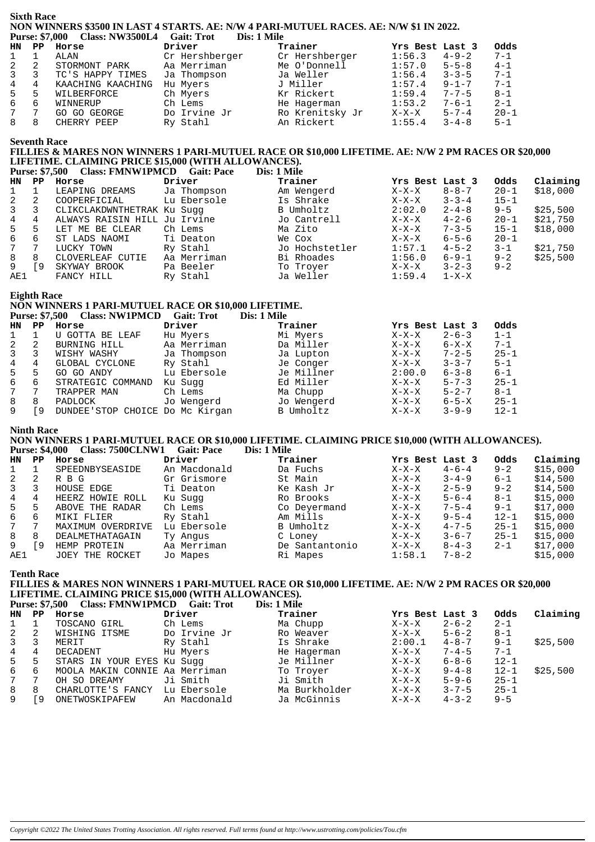#### **Sixth Race NON WINNERS \$3500 IN LAST 4 STARTS. AE: N/W 4 PARI-MUTUEL RACES. AE: N/W \$1 IN 2022. Purse: \$7,000 Class: NW3500L4 Gait: Trot Dis: 1 Mile**

| HN           | PP | Horse             | Driver         | Trainer         | Yrs Best Last 3 |             | Odds     |  |  |  |
|--------------|----|-------------------|----------------|-----------------|-----------------|-------------|----------|--|--|--|
| 1            |    | ALAN              | Cr Hershberger | Cr Hershberger  | 1:56.3          | $4 - 9 - 2$ | $7 - 1$  |  |  |  |
| 2            | 2  | STORMONT PARK     | Aa Merriman    | Me O'Donnell    | 1:57.0          | $5 - 5 - 8$ | $4 - 1$  |  |  |  |
| $\mathbf{3}$ | 3  | TC'S HAPPY TIMES  | Ja Thompson    | Ja Weller       | 1:56.4          | $3 - 3 - 5$ | $7 - 1$  |  |  |  |
| $4 \quad$    | 4  | KAACHING KAACHING | Hu Myers       | J Miller        | 1:57.4          | $9 - 1 - 7$ | $7 - 1$  |  |  |  |
| $5 -$        | 5  | WILBERFORCE       | Ch Myers       | Kr Rickert      | 1:59.4          | $7 - 7 - 5$ | $8 - 1$  |  |  |  |
| 6            | 6  | WINNERUP          | Ch Lems        | He Hagerman     | 1:53.2          | $7 - 6 - 1$ | $2 - 1$  |  |  |  |
| 7            | 7  | GO GO GEORGE      | Do Irvine Jr   | Ro Krenitsky Jr | $X-X-X$         | $5 - 7 - 4$ | $20 - 1$ |  |  |  |
| 8            | 8  | CHERRY PEEP       | Ry Stahl       | An Rickert      | 1:55.4          | $3 - 4 - 8$ | $5 - 1$  |  |  |  |
|              |    |                   |                |                 |                 |             |          |  |  |  |

## **Seventh Race**

# **FILLIES & MARES NON WINNERS 1 PARI-MUTUEL RACE OR \$10,000 LIFETIME. AE: N/W 2 PM RACES OR \$20,000 LIFETIME. CLAIMING PRICE \$15,000 (WITH ALLOWANCES).**

**Purse: \$7,500 Class: FMNW1PMCD Gait: Pace Dis: 1 Mile**

| HN          | PP. | Horse                        | Driver      | Trainer        | Yrs Best Last 3 |             | Odds     | Claiming |
|-------------|-----|------------------------------|-------------|----------------|-----------------|-------------|----------|----------|
|             |     | LEAPING DREAMS               | Ja Thompson | Am Wengerd     | $X-X-X$         | $8 - 8 - 7$ | $20 - 1$ | \$18,000 |
| 2           | 2   | COOPERFICIAL                 | Lu Ebersole | Is Shrake      | $X-X-X$         | $3 - 3 - 4$ | $15 - 1$ |          |
| 3           | 3   | CLIKCLAKDWNTHETRAK Ku Suqq   |             | B Umholtz      | 2:02.0          | $2 - 4 - 8$ | $9 - 5$  | \$25,500 |
| 4           | 4   | ALWAYS RAISIN HILL Ju Irvine |             | Jo Cantrell    | $X-X-X$         | $4 - 2 - 6$ | $20 - 1$ | \$21,750 |
| 5           | 5   | LET ME BE CLEAR              | Ch Lems     | Ma Zito        | $X-X-X$         | $7 - 3 - 5$ | $15 - 1$ | \$18,000 |
| 6           | 6   | ST LADS NAOMI                | Ti Deaton   | We Cox         | $X-X-X$         | $6 - 5 - 6$ | $20 - 1$ |          |
| $7^{\circ}$ |     | LUCKY TOWN                   | Ry Stahl    | Jo Hochstetler | 1:57.1          | $4 - 5 - 2$ | $3 - 1$  | \$21,750 |
| 8           | 8   | CLOVERLEAF CUTIE             | Aa Merriman | Bi Rhoades     | 1:56.0          | $6 - 9 - 1$ | $9 - 2$  | \$25.500 |
| 9           | 9   | SKYWAY BROOK                 | Pa Beeler   | To Troyer      | $X-X-X$         | $3 - 2 - 3$ | $9 - 2$  |          |
| AE1         |     | FANCY HILL                   | Ry Stahl    | Ja Weller      | 1:59.4          | $1 - X - X$ |          |          |

#### **Eighth Race**

#### **NON WINNERS 1 PARI-MUTUEL RACE OR \$10,000 LIFETIME.**<br>Purse: \$7.500 Class: NW1PMCD Gait: Trot Dis: 1 Mile Purse: \$7,500 Class: NW1PMCD Gait: Trot

|              | $\sim$ $\mu$ $\sim$ $\sim$ $\sim$ $\sim$ | $\sim$                          |             | $\sim$ 100 $\sim$ 100 $\sim$ |                 |             |          |
|--------------|------------------------------------------|---------------------------------|-------------|------------------------------|-----------------|-------------|----------|
| HN           | PP                                       | Horse                           | Driver      | Trainer                      | Yrs Best Last 3 |             | Odds     |
|              |                                          | U GOTTA BE LEAF                 | Hu Myers    | Mi Myers                     | $X-X-X$         | $2 - 6 - 3$ | $1 - 1$  |
| 2            | 2                                        | BURNING HILL                    | Aa Merriman | Da Miller                    | $X-X-X$         | $6 - X - X$ | $7 - 1$  |
| $\mathbf{3}$ |                                          | WISHY WASHY                     | Ja Thompson | Ja Lupton                    | $X-X-X$         | $7 - 2 - 5$ | $25 - 1$ |
| 4            | 4                                        | GLOBAL CYCLONE                  | Ry Stahl    | Je Conger                    | $X-X-X$         | $3 - 3 - 7$ | $5 - 1$  |
| 5            | 5                                        | GO GO ANDY                      | Lu Ebersole | Je Millner                   | 2:00.0          | $6 - 3 - 8$ | 6-1      |
| 6            | 6                                        | STRATEGIC COMMAND               | Ku Sugg     | Ed Miller                    | X-X-X           | $5 - 7 - 3$ | $25 - 1$ |
| 7            |                                          | TRAPPER MAN                     | Ch Lems     | Ma Chupp                     | $X-X-X$         | $5 - 2 - 7$ | $8 - 1$  |
| 8            | 8                                        | PADLOCK                         | Jo Wengerd  | Jo Wengerd                   | $X-X-X$         | $6 - 5 - X$ | $25 - 1$ |
|              | 9،                                       | DUNDEE'STOP CHOICE Do Mc Kirgan |             | B Umholtz                    | $X-X-X$         | $3 - 9 - 9$ | $12 - 1$ |
|              |                                          |                                 |             |                              |                 |             |          |

#### **Ninth Race**

**NON WINNERS 1 PARI-MUTUEL RACE OR \$10,000 LIFETIME. CLAIMING PRICE \$10,000 (WITH ALLOWANCES). Purse: \$4,000 Class: 7500CLNW1 Gait: Pace** 

| HN  | PP | Horse             | Driver       | Trainer        | Yrs Best Last 3 |             | Odds     | Claiming |
|-----|----|-------------------|--------------|----------------|-----------------|-------------|----------|----------|
|     |    | SPEEDNBYSEASIDE   | An Macdonald | Da Fuchs       | $X-X-X$         | $4 - 6 - 4$ | $9 - 2$  | \$15,000 |
| -2  |    | R B G             | Gr Grismore  | St Main        | $X-X-X$         | $3 - 4 - 9$ | $6 - 1$  | \$14,500 |
| 3   |    | HOUSE EDGE        | Ti Deaton    | Ke Kash Jr     | $X-X-X$         | $2 - 5 - 9$ | $9 - 2$  | \$14,500 |
| 4   | 4  | HEERZ HOWIE ROLL  | Ku Sugg      | Ro Brooks      | $X-X-X$         | $5 - 6 - 4$ | $8 - 1$  | \$15,000 |
| 5   |    | ABOVE THE RADAR   | Ch Lems      | Co Deyermand   | $X-X-X$         | $7 - 5 - 4$ | $9 - 1$  | \$17,000 |
| 6   | 6  | MIKI FLIER        | Ry Stahl     | Am Mills       | $X-X-X$         | $9 - 5 - 4$ | $12 - 1$ | \$15,000 |
| 7   |    | MAXIMUM OVERDRIVE | Lu Ebersole  | B Umholtz      | $X-X-X$         | $4 - 7 - 5$ | $25 - 1$ | \$15,000 |
| 8   | 8  | DEALMETHATAGAIN   | Ty Angus     | C Loney        | $X-X-X$         | $3 - 6 - 7$ | $25 - 1$ | \$15,000 |
| 9   | 9  | HEMP PROTEIN      | Aa Merriman  | De Santantonio | $X-X-X$         | $8 - 4 - 3$ | $2 - 1$  | \$17,000 |
| AE1 |    | JOEY THE ROCKET   | Jo Mapes     | Ri Mapes       | 1:58.1          | $7 - 8 - 2$ |          | \$15,000 |

### **Tenth Race**

#### **FILLIES & MARES NON WINNERS 1 PARI-MUTUEL RACE OR \$10,000 LIFETIME. AE: N/W 2 PM RACES OR \$20,000 LIFETIME. CLAIMING PRICE \$15,000 (WITH ALLOWANCES). Purse: \$7,500 Class: FMNW1PMCD Gait: Trot**

|               |    | $\sim$                         |              | $\sim$ 100 $\sim$ 100 $\sim$ |                 |             |          |          |
|---------------|----|--------------------------------|--------------|------------------------------|-----------------|-------------|----------|----------|
| HN            | PP | Horse                          | Driver       | Trainer                      | Yrs Best Last 3 |             | Odds     | Claiming |
| $\mathbf{1}$  |    | TOSCANO GIRL                   | Ch Lems      | Ma Chupp                     | $X-X-X$         | $2 - 6 - 2$ | $2 - 1$  |          |
| 2             | 2  | WISHING ITSME                  | Do Irvine Jr | Ro Weaver                    | X-X-X           | $5 - 6 - 2$ | $8 - 1$  |          |
| $\mathcal{E}$ |    | MERIT                          | Ry Stahl     | Is Shrake                    | 2:00.1          | $4 - 8 - 7$ | $9 - 1$  | \$25,500 |
| 4             | 4  | DECADENT                       | Hu Myers     | He Hagerman                  | $X-X-X$         | $7 - 4 - 5$ | $7 - 1$  |          |
| 5             | 5  | STARS IN YOUR EYES Ku Suqq     |              | Je Millner                   | X-X-X           | $6 - 8 - 6$ | $12 - 1$ |          |
| 6             | 6  | MOOLA MAKIN CONNIE Aa Merriman |              | To Troyer                    | X-X-X           | $9 - 4 - 8$ | $12 - 1$ | \$25,500 |
| 7             |    | OH SO DREAMY                   | Ji Smith     | Ji Smith                     | X-X-X           | $5 - 9 - 6$ | $25 - 1$ |          |
| 8             | 8  | CHARLOTTE'S FANCY              | Lu Ebersole  | Ma Burkholder                | $X-X-X$         | $3 - 7 - 5$ | $25 - 1$ |          |
| 9             | 9  | ONETWOSKIPAFEW                 | An Macdonald | Ja McGinnis                  | X-X-X           | $4 - 3 - 2$ | $9 - 5$  |          |
|               |    |                                |              |                              |                 |             |          |          |